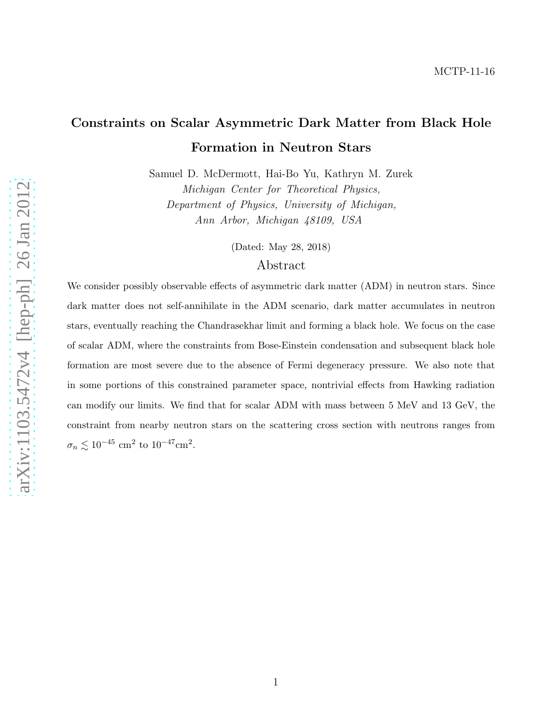# Constraints on Scalar Asymmetric Dark Matter from Black Hole Formation in Neutron Stars

Samuel D. McDermott, Hai-Bo Yu, Kathryn M. Zurek Michigan Center for Theoretical Physics, Department of Physics, University of Michigan, Ann Arbor, Michigan 48109, USA

(Dated: May 28, 2018)

# Abstract

We consider possibly observable effects of asymmetric dark matter (ADM) in neutron stars. Since dark matter does not self-annihilate in the ADM scenario, dark matter accumulates in neutron stars, eventually reaching the Chandrasekhar limit and forming a black hole. We focus on the case of scalar ADM, where the constraints from Bose-Einstein condensation and subsequent black hole formation are most severe due to the absence of Fermi degeneracy pressure. We also note that in some portions of this constrained parameter space, nontrivial effects from Hawking radiation can modify our limits. We find that for scalar ADM with mass between 5 MeV and 13 GeV, the constraint from nearby neutron stars on the scattering cross section with neutrons ranges from  $\sigma_n \lesssim 10^{-45}$  cm<sup>2</sup> to  $10^{-47}$ cm<sup>2</sup>.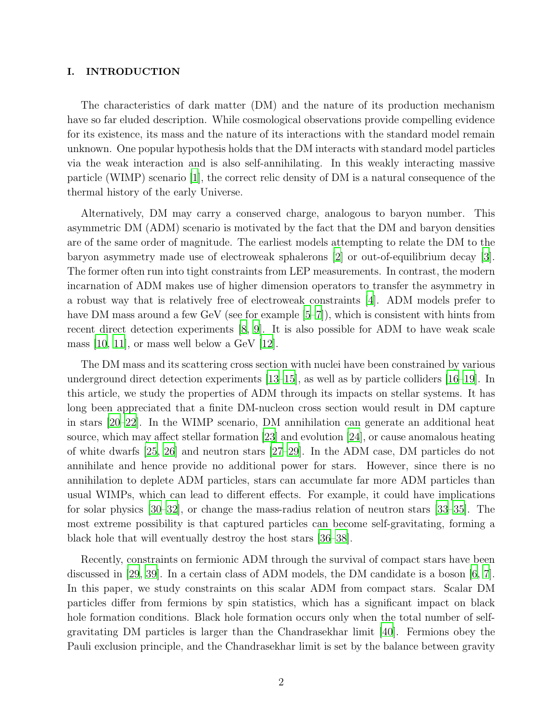## I. INTRODUCTION

The characteristics of dark matter (DM) and the nature of its production mechanism have so far eluded description. While cosmological observations provide compelling evidence for its existence, its mass and the nature of its interactions with the standard model remain unknown. One popular hypothesis holds that the DM interacts with standard model particles via the weak interaction and is also self-annihilating. In this weakly interacting massive particle (WIMP) scenario [\[1](#page-20-0)], the correct relic density of DM is a natural consequence of the thermal history of the early Universe.

Alternatively, DM may carry a conserved charge, analogous to baryon number. This asymmetric DM (ADM) scenario is motivated by the fact that the DM and baryon densities are of the same order of magnitude. The earliest models attempting to relate the DM to the baryon asymmetry made use of electroweak sphalerons [\[2](#page-20-1)] or out-of-equilibrium decay [\[3\]](#page-20-2). The former often run into tight constraints from LEP measurements. In contrast, the modern incarnation of ADM makes use of higher dimension operators to transfer the asymmetry in a robust way that is relatively free of electroweak constraints [\[4](#page-20-3)]. ADM models prefer to have DM mass around a few GeV (see for example [\[5](#page-20-4)[–7](#page-21-0)]), which is consistent with hints from recent direct detection experiments [\[8,](#page-21-1) [9\]](#page-21-2). It is also possible for ADM to have weak scale mass  $[10, 11]$  $[10, 11]$ , or mass well below a GeV  $[12]$ .

The DM mass and its scattering cross section with nuclei have been constrained by various underground direct detection experiments [\[13](#page-21-6)[–15\]](#page-21-7), as well as by particle colliders [\[16](#page-21-8)[–19](#page-21-9)]. In this article, we study the properties of ADM through its impacts on stellar systems. It has long been appreciated that a finite DM-nucleon cross section would result in DM capture in stars [\[20](#page-21-10)[–22\]](#page-21-11). In the WIMP scenario, DM annihilation can generate an additional heat source, which may affect stellar formation [\[23\]](#page-22-0) and evolution [\[24\]](#page-22-1), or cause anomalous heating of white dwarfs [\[25,](#page-22-2) [26](#page-22-3)] and neutron stars [\[27](#page-22-4)[–29\]](#page-22-5). In the ADM case, DM particles do not annihilate and hence provide no additional power for stars. However, since there is no annihilation to deplete ADM particles, stars can accumulate far more ADM particles than usual WIMPs, which can lead to different effects. For example, it could have implications for solar physics [\[30](#page-22-6)[–32](#page-22-7)], or change the mass-radius relation of neutron stars [\[33](#page-22-8)[–35\]](#page-22-9). The most extreme possibility is that captured particles can become self-gravitating, forming a black hole that will eventually destroy the host stars [\[36](#page-22-10)[–38](#page-22-11)].

Recently, constraints on fermionic ADM through the survival of compact stars have been discussed in [\[29,](#page-22-5) [39](#page-22-12)]. In a certain class of ADM models, the DM candidate is a boson [\[6,](#page-20-5) [7\]](#page-21-0). In this paper, we study constraints on this scalar ADM from compact stars. Scalar DM particles differ from fermions by spin statistics, which has a significant impact on black hole formation conditions. Black hole formation occurs only when the total number of selfgravitating DM particles is larger than the Chandrasekhar limit [\[40\]](#page-22-13). Fermions obey the Pauli exclusion principle, and the Chandrasekhar limit is set by the balance between gravity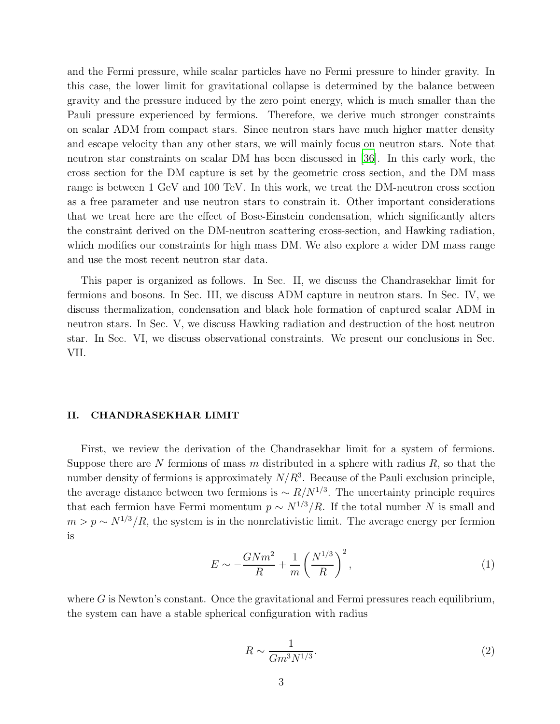and the Fermi pressure, while scalar particles have no Fermi pressure to hinder gravity. In this case, the lower limit for gravitational collapse is determined by the balance between gravity and the pressure induced by the zero point energy, which is much smaller than the Pauli pressure experienced by fermions. Therefore, we derive much stronger constraints on scalar ADM from compact stars. Since neutron stars have much higher matter density and escape velocity than any other stars, we will mainly focus on neutron stars. Note that neutron star constraints on scalar DM has been discussed in [\[36](#page-22-10)]. In this early work, the cross section for the DM capture is set by the geometric cross section, and the DM mass range is between 1 GeV and 100 TeV. In this work, we treat the DM-neutron cross section as a free parameter and use neutron stars to constrain it. Other important considerations that we treat here are the effect of Bose-Einstein condensation, which significantly alters the constraint derived on the DM-neutron scattering cross-section, and Hawking radiation, which modifies our constraints for high mass DM. We also explore a wider DM mass range and use the most recent neutron star data.

This paper is organized as follows. In Sec. II, we discuss the Chandrasekhar limit for fermions and bosons. In Sec. III, we discuss ADM capture in neutron stars. In Sec. IV, we discuss thermalization, condensation and black hole formation of captured scalar ADM in neutron stars. In Sec. V, we discuss Hawking radiation and destruction of the host neutron star. In Sec. VI, we discuss observational constraints. We present our conclusions in Sec. VII.

#### II. CHANDRASEKHAR LIMIT

First, we review the derivation of the Chandrasekhar limit for a system of fermions. Suppose there are N fermions of mass m distributed in a sphere with radius  $R$ , so that the number density of fermions is approximately  $N/R<sup>3</sup>$ . Because of the Pauli exclusion principle, the average distance between two fermions is  $\sim R/N^{1/3}$ . The uncertainty principle requires that each fermion have Fermi momentum  $p \sim N^{1/3}/R$ . If the total number N is small and  $m > p \sim N^{1/3}/R$ , the system is in the nonrelativistic limit. The average energy per fermion is

$$
E \sim -\frac{GNm^2}{R} + \frac{1}{m} \left(\frac{N^{1/3}}{R}\right)^2,\tag{1}
$$

where  $G$  is Newton's constant. Once the gravitational and Fermi pressures reach equilibrium, the system can have a stable spherical configuration with radius

$$
R \sim \frac{1}{Gm^3 N^{1/3}}.\tag{2}
$$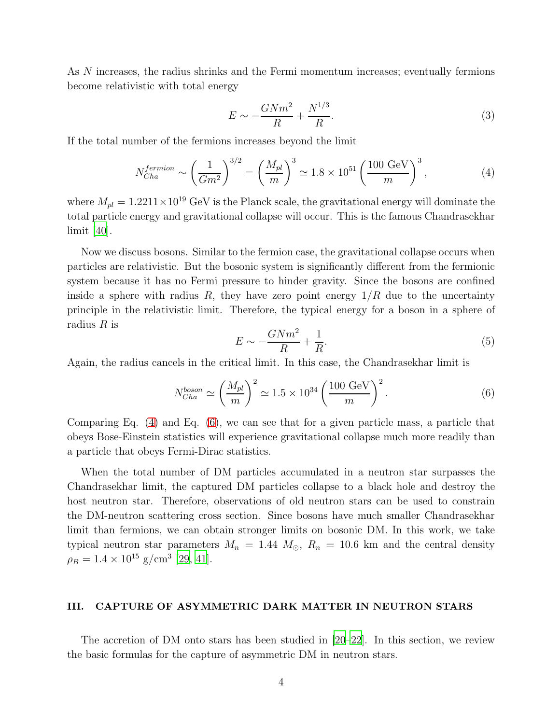As N increases, the radius shrinks and the Fermi momentum increases; eventually fermions become relativistic with total energy

$$
E \sim -\frac{GNm^2}{R} + \frac{N^{1/3}}{R}.\tag{3}
$$

If the total number of the fermions increases beyond the limit

<span id="page-3-0"></span>
$$
N_{Cha}^{fermion} \sim \left(\frac{1}{Gm^2}\right)^{3/2} = \left(\frac{M_{pl}}{m}\right)^3 \approx 1.8 \times 10^{51} \left(\frac{100 \text{ GeV}}{m}\right)^3,\tag{4}
$$

where  $M_{pl} = 1.2211 \times 10^{19}$  GeV is the Planck scale, the gravitational energy will dominate the total particle energy and gravitational collapse will occur. This is the famous Chandrasekhar limit [\[40](#page-22-13)].

Now we discuss bosons. Similar to the fermion case, the gravitational collapse occurs when particles are relativistic. But the bosonic system is significantly different from the fermionic system because it has no Fermi pressure to hinder gravity. Since the bosons are confined inside a sphere with radius R, they have zero point energy  $1/R$  due to the uncertainty principle in the relativistic limit. Therefore, the typical energy for a boson in a sphere of radius  $R$  is

$$
E \sim -\frac{GNm^2}{R} + \frac{1}{R}.\tag{5}
$$

Again, the radius cancels in the critical limit. In this case, the Chandrasekhar limit is

<span id="page-3-1"></span>
$$
N_{Cha}^{boson} \simeq \left(\frac{M_{pl}}{m}\right)^2 \simeq 1.5 \times 10^{34} \left(\frac{100 \text{ GeV}}{m}\right)^2. \tag{6}
$$

Comparing Eq. [\(4\)](#page-3-0) and Eq. [\(6\)](#page-3-1), we can see that for a given particle mass, a particle that obeys Bose-Einstein statistics will experience gravitational collapse much more readily than a particle that obeys Fermi-Dirac statistics.

When the total number of DM particles accumulated in a neutron star surpasses the Chandrasekhar limit, the captured DM particles collapse to a black hole and destroy the host neutron star. Therefore, observations of old neutron stars can be used to constrain the DM-neutron scattering cross section. Since bosons have much smaller Chandrasekhar limit than fermions, we can obtain stronger limits on bosonic DM. In this work, we take typical neutron star parameters  $M_n = 1.44$   $M_{\odot}$ ,  $R_n = 10.6$  km and the central density  $\rho_B = 1.4 \times 10^{15}$  g/cm<sup>3</sup> [\[29](#page-22-5), [41\]](#page-22-14).

# III. CAPTURE OF ASYMMETRIC DARK MATTER IN NEUTRON STARS

The accretion of DM onto stars has been studied in [\[20](#page-21-10)[–22\]](#page-21-11). In this section, we review the basic formulas for the capture of asymmetric DM in neutron stars.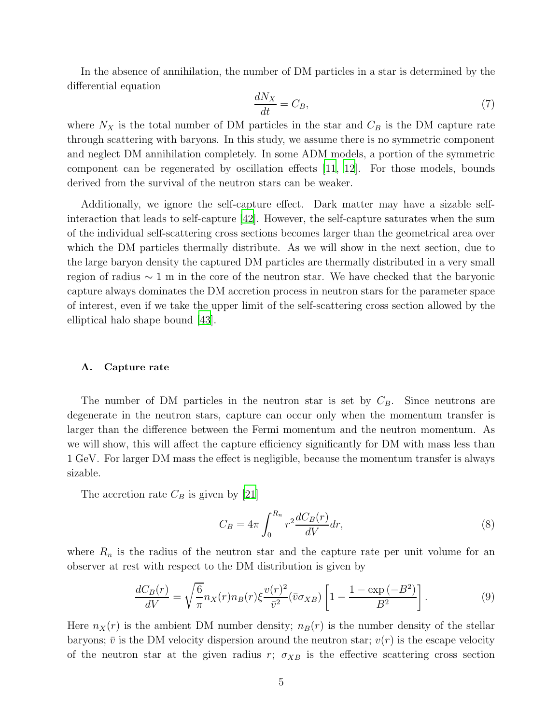In the absence of annihilation, the number of DM particles in a star is determined by the differential equation

<span id="page-4-0"></span>
$$
\frac{dN_X}{dt} = C_B,\tag{7}
$$

where  $N_X$  is the total number of DM particles in the star and  $C_B$  is the DM capture rate through scattering with baryons. In this study, we assume there is no symmetric component and neglect DM annihilation completely. In some ADM models, a portion of the symmetric component can be regenerated by oscillation effects [\[11,](#page-21-4) [12](#page-21-5)]. For those models, bounds derived from the survival of the neutron stars can be weaker.

Additionally, we ignore the self-capture effect. Dark matter may have a sizable selfinteraction that leads to self-capture [\[42](#page-22-15)]. However, the self-capture saturates when the sum of the individual self-scattering cross sections becomes larger than the geometrical area over which the DM particles thermally distribute. As we will show in the next section, due to the large baryon density the captured DM particles are thermally distributed in a very small region of radius ∼ 1 m in the core of the neutron star. We have checked that the baryonic capture always dominates the DM accretion process in neutron stars for the parameter space of interest, even if we take the upper limit of the self-scattering cross section allowed by the elliptical halo shape bound [\[43](#page-22-16)].

#### A. Capture rate

The number of DM particles in the neutron star is set by  $C_B$ . Since neutrons are degenerate in the neutron stars, capture can occur only when the momentum transfer is larger than the difference between the Fermi momentum and the neutron momentum. As we will show, this will affect the capture efficiency significantly for DM with mass less than 1 GeV. For larger DM mass the effect is negligible, because the momentum transfer is always sizable.

The accretion rate  $C_B$  is given by [\[21\]](#page-21-12)

$$
C_B = 4\pi \int_0^{R_n} r^2 \frac{dC_B(r)}{dV} dr,
$$
\n(8)

where  $R_n$  is the radius of the neutron star and the capture rate per unit volume for an observer at rest with respect to the DM distribution is given by

$$
\frac{dC_B(r)}{dV} = \sqrt{\frac{6}{\pi}} n_X(r) n_B(r) \xi \frac{v(r)^2}{\bar{v}^2} (\bar{v}\sigma_{XB}) \left[ 1 - \frac{1 - \exp(-B^2)}{B^2} \right].
$$
\n(9)

Here  $n_X(r)$  is the ambient DM number density;  $n_B(r)$  is the number density of the stellar baryons;  $\bar{v}$  is the DM velocity dispersion around the neutron star;  $v(r)$  is the escape velocity of the neutron star at the given radius r;  $\sigma_{XB}$  is the effective scattering cross section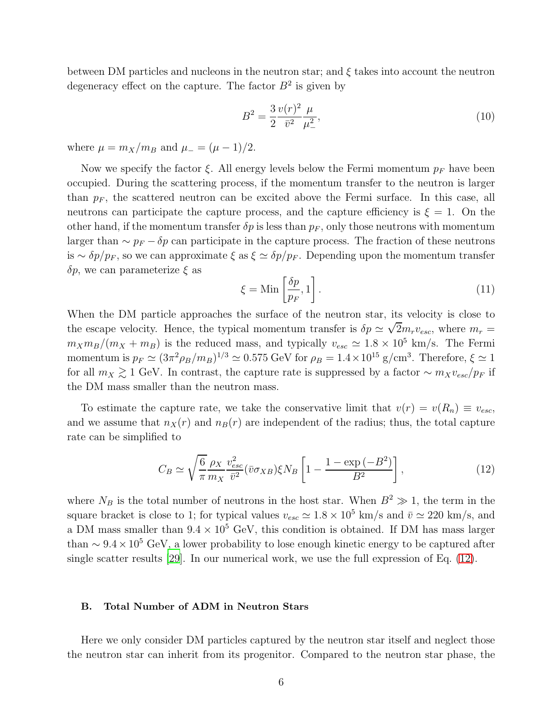between DM particles and nucleons in the neutron star; and  $\xi$  takes into account the neutron degeneracy effect on the capture. The factor  $B^2$  is given by

$$
B^2 = \frac{3}{2} \frac{v(r)^2}{\bar{v}^2} \frac{\mu}{\mu_{-}^2},\tag{10}
$$

where  $\mu = m_X/m_B$  and  $\mu = (\mu - 1)/2$ .

Now we specify the factor  $\xi$ . All energy levels below the Fermi momentum  $p_F$  have been occupied. During the scattering process, if the momentum transfer to the neutron is larger than  $p_F$ , the scattered neutron can be excited above the Fermi surface. In this case, all neutrons can participate the capture process, and the capture efficiency is  $\xi = 1$ . On the other hand, if the momentum transfer  $\delta p$  is less than  $p_F$ , only those neutrons with momentum larger than  $\sim p_F - \delta p$  can participate in the capture process. The fraction of these neutrons is ~  $\delta p/p_F$ , so we can approximate  $\xi$  as  $\xi \simeq \delta p/p_F$ . Depending upon the momentum transfer  $\delta p$ , we can parameterize  $\xi$  as

<span id="page-5-1"></span>
$$
\xi = \text{Min}\left[\frac{\delta p}{p_F}, 1\right].\tag{11}
$$

When the DM particle approaches the surface of the neutron star, its velocity is close to the escape velocity. Hence, the typical momentum transfer is  $\delta p \simeq \sqrt{2} m_r v_{esc}$ , where  $m_r =$  $m_X m_B/(m_X + m_B)$  is the reduced mass, and typically  $v_{esc} \simeq 1.8 \times 10^5$  km/s. The Fermi momentum is  $p_F \simeq (3\pi^2 \rho_B/m_B)^{1/3} \simeq 0.575$  GeV for  $\rho_B = 1.4 \times 10^{15}$  g/cm<sup>3</sup>. Therefore,  $\xi \simeq 1$ for all  $m_X \gtrsim 1$  GeV. In contrast, the capture rate is suppressed by a factor ~  $m_X v_{esc}/p_F$  if the DM mass smaller than the neutron mass.

To estimate the capture rate, we take the conservative limit that  $v(r) = v(R_n) \equiv v_{esc}$ , and we assume that  $n_X(r)$  and  $n_B(r)$  are independent of the radius; thus, the total capture rate can be simplified to

<span id="page-5-0"></span>
$$
C_B \simeq \sqrt{\frac{6}{\pi}} \frac{\rho_X}{m_X} \frac{v_{esc}^2}{\bar{v}^2} (\bar{v}\sigma_{XB}) \xi N_B \left[ 1 - \frac{1 - \exp(-B^2)}{B^2} \right],\tag{12}
$$

where  $N_B$  is the total number of neutrons in the host star. When  $B^2 \gg 1$ , the term in the square bracket is close to 1; for typical values  $v_{esc} \simeq 1.8 \times 10^5$  km/s and  $\bar{v} \simeq 220$  km/s, and a DM mass smaller than  $9.4 \times 10^5$  GeV, this condition is obtained. If DM has mass larger than  $\sim 9.4 \times 10^5$  GeV, a lower probability to lose enough kinetic energy to be captured after single scatter results [\[29\]](#page-22-5). In our numerical work, we use the full expression of Eq. [\(12\)](#page-5-0).

## B. Total Number of ADM in Neutron Stars

Here we only consider DM particles captured by the neutron star itself and neglect those the neutron star can inherit from its progenitor. Compared to the neutron star phase, the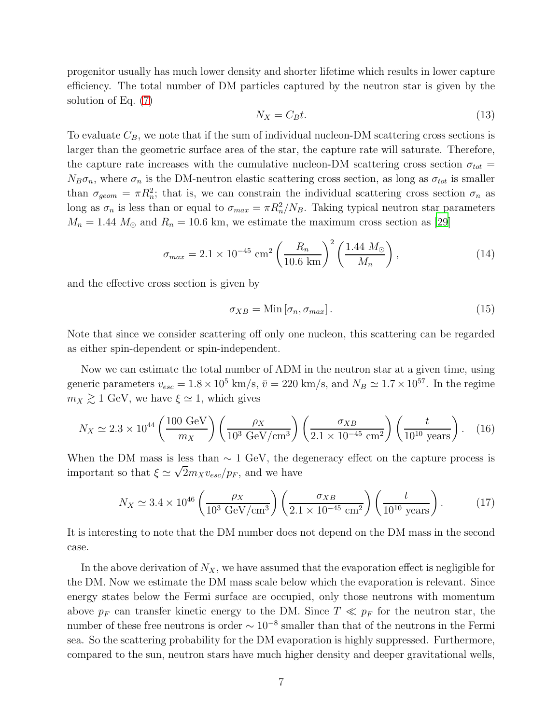progenitor usually has much lower density and shorter lifetime which results in lower capture efficiency. The total number of DM particles captured by the neutron star is given by the solution of Eq. [\(7\)](#page-4-0)

$$
N_X = C_B t. \tag{13}
$$

To evaluate  $C_B$ , we note that if the sum of individual nucleon-DM scattering cross sections is larger than the geometric surface area of the star, the capture rate will saturate. Therefore, the capture rate increases with the cumulative nucleon-DM scattering cross section  $\sigma_{tot} =$  $N_B\sigma_n$ , where  $\sigma_n$  is the DM-neutron elastic scattering cross section, as long as  $\sigma_{tot}$  is smaller than  $\sigma_{geom} = \pi R_n^2$ ; that is, we can constrain the individual scattering cross section  $\sigma_n$  as long as  $\sigma_n$  is less than or equal to  $\sigma_{max} = \pi R_n^2/N_B$ . Taking typical neutron star parameters  $M_n = 1.44$   $M_{\odot}$  and  $R_n = 10.6$  km, we estimate the maximum cross section as [\[29](#page-22-5)]

$$
\sigma_{max} = 2.1 \times 10^{-45} \text{ cm}^2 \left(\frac{R_n}{10.6 \text{ km}}\right)^2 \left(\frac{1.44 \text{ M}_{\odot}}{M_n}\right),\tag{14}
$$

and the effective cross section is given by

$$
\sigma_{XB} = \text{Min}\left[\sigma_n, \sigma_{max}\right].\tag{15}
$$

Note that since we consider scattering off only one nucleon, this scattering can be regarded as either spin-dependent or spin-independent.

Now we can estimate the total number of ADM in the neutron star at a given time, using generic parameters  $v_{esc} = 1.8 \times 10^5$  km/s,  $\bar{v} = 220$  km/s, and  $N_B \simeq 1.7 \times 10^{57}$ . In the regime  $m_X \gtrsim 1$  GeV, we have  $\xi \simeq 1$ , which gives

<span id="page-6-0"></span>
$$
N_X \simeq 2.3 \times 10^{44} \left(\frac{100 \text{ GeV}}{m_X}\right) \left(\frac{\rho_X}{10^3 \text{ GeV/cm}^3}\right) \left(\frac{\sigma_{XB}}{2.1 \times 10^{-45} \text{ cm}^2}\right) \left(\frac{t}{10^{10} \text{ years}}\right). \tag{16}
$$

When the DM mass is less than  $\sim 1$  GeV, the degeneracy effect on the capture process is important so that  $\xi \simeq \sqrt{2}m_X v_{esc}/p_F$ , and we have

<span id="page-6-1"></span>
$$
N_X \simeq 3.4 \times 10^{46} \left( \frac{\rho_X}{10^3 \text{ GeV/cm}^3} \right) \left( \frac{\sigma_{XB}}{2.1 \times 10^{-45} \text{ cm}^2} \right) \left( \frac{t}{10^{10} \text{ years}} \right). \tag{17}
$$

It is interesting to note that the DM number does not depend on the DM mass in the second case.

In the above derivation of  $N_X$ , we have assumed that the evaporation effect is negligible for the DM. Now we estimate the DM mass scale below which the evaporation is relevant. Since energy states below the Fermi surface are occupied, only those neutrons with momentum above  $p_F$  can transfer kinetic energy to the DM. Since  $T \ll p_F$  for the neutron star, the number of these free neutrons is order  $\sim 10^{-8}$  smaller than that of the neutrons in the Fermi sea. So the scattering probability for the DM evaporation is highly suppressed. Furthermore, compared to the sun, neutron stars have much higher density and deeper gravitational wells,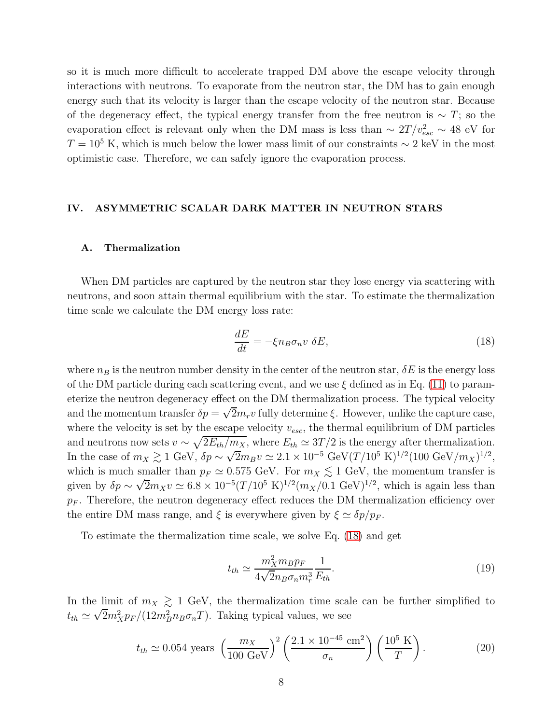so it is much more difficult to accelerate trapped DM above the escape velocity through interactions with neutrons. To evaporate from the neutron star, the DM has to gain enough energy such that its velocity is larger than the escape velocity of the neutron star. Because of the degeneracy effect, the typical energy transfer from the free neutron is  $\sim T$ ; so the evaporation effect is relevant only when the DM mass is less than  $\sim 2T/v_{esc}^2 \sim 48$  eV for  $T = 10<sup>5</sup>$  K, which is much below the lower mass limit of our constraints  $\sim 2$  keV in the most optimistic case. Therefore, we can safely ignore the evaporation process.

# IV. ASYMMETRIC SCALAR DARK MATTER IN NEUTRON STARS

#### A. Thermalization

When DM particles are captured by the neutron star they lose energy via scattering with neutrons, and soon attain thermal equilibrium with the star. To estimate the thermalization time scale we calculate the DM energy loss rate:

<span id="page-7-0"></span>
$$
\frac{dE}{dt} = -\xi n_B \sigma_n v \ \delta E,\tag{18}
$$

where  $n_B$  is the neutron number density in the center of the neutron star,  $\delta E$  is the energy loss of the DM particle during each scattering event, and we use  $\xi$  defined as in Eq. [\(11\)](#page-5-1) to parameterize the neutron degeneracy effect on the DM thermalization process. The typical velocity and the momentum transfer  $\delta p = \sqrt{2}m_r v$  fully determine  $\xi$ . However, unlike the capture case, where the velocity is set by the escape velocity  $v_{esc}$ , the thermal equilibrium of DM particles and neutrons now sets  $v \sim \sqrt{2E_{th}/m_X}$ , where  $E_{th} \simeq 3T/2$  is the energy after thermalization. In the case of  $m_X \gtrsim 1 \text{ GeV}, \, \delta p \sim \sqrt{2} m_B v \simeq 2.1 \times 10^{-5} \text{ GeV} (T/10^5 \text{ K})^{1/2} (100 \text{ GeV}/m_X)^{1/2},$ which is much smaller than  $p_F \simeq 0.575 \text{ GeV}$ . For  $m_X \lesssim 1 \text{ GeV}$ , the momentum transfer is given by  $\delta p \sim \sqrt{2} m_X v \simeq 6.8 \times 10^{-5} (T/10^5 \text{ K})^{1/2} (m_X/0.1 \text{ GeV})^{1/2}$ , which is again less than  $p_F$ . Therefore, the neutron degeneracy effect reduces the DM thermalization efficiency over the entire DM mass range, and  $\xi$  is everywhere given by  $\xi \simeq \delta p/p_F$ .

To estimate the thermalization time scale, we solve Eq. [\(18\)](#page-7-0) and get

$$
t_{th} \simeq \frac{m_X^2 m_B p_F}{4\sqrt{2}n_B \sigma_n m_r^3} \frac{1}{E_{th}}.\tag{19}
$$

In the limit of  $m_X \gtrsim 1$  GeV, the thermalization time scale can be further simplified to  $t_{th} \simeq \sqrt{2} m_X^2 p_F / (12 m_B^2 n_B \sigma_n T)$ . Taking typical values, we see

<span id="page-7-1"></span>
$$
t_{th} \simeq 0.054
$$
 years  $\left(\frac{m_X}{100 \text{ GeV}}\right)^2 \left(\frac{2.1 \times 10^{-45} \text{ cm}^2}{\sigma_n}\right) \left(\frac{10^5 \text{ K}}{T}\right).$  (20)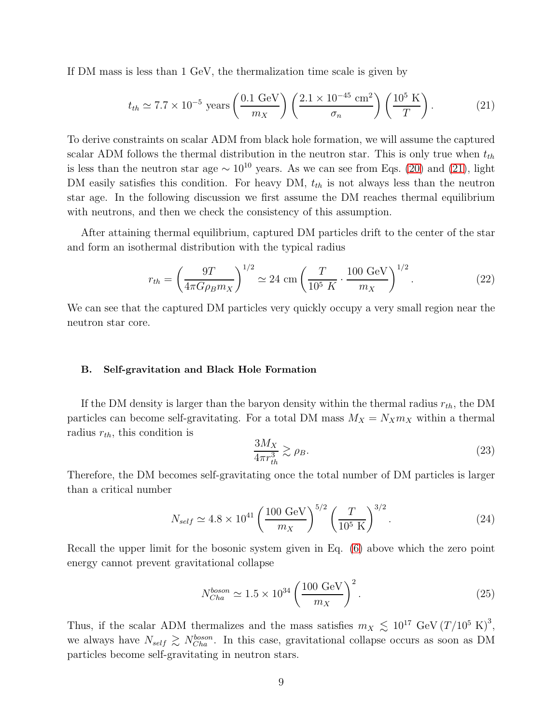If DM mass is less than 1 GeV, the thermalization time scale is given by

<span id="page-8-0"></span>
$$
t_{th} \simeq 7.7 \times 10^{-5} \text{ years} \left(\frac{0.1 \text{ GeV}}{m_X}\right) \left(\frac{2.1 \times 10^{-45} \text{ cm}^2}{\sigma_n}\right) \left(\frac{10^5 \text{ K}}{T}\right). \tag{21}
$$

To derive constraints on scalar ADM from black hole formation, we will assume the captured scalar ADM follows the thermal distribution in the neutron star. This is only true when  $t_{th}$ is less than the neutron star age  $\sim 10^{10}$  years. As we can see from Eqs. [\(20\)](#page-7-1) and [\(21\)](#page-8-0), light DM easily satisfies this condition. For heavy DM,  $t_{th}$  is not always less than the neutron star age. In the following discussion we first assume the DM reaches thermal equilibrium with neutrons, and then we check the consistency of this assumption.

After attaining thermal equilibrium, captured DM particles drift to the center of the star and form an isothermal distribution with the typical radius

<span id="page-8-1"></span>
$$
r_{th} = \left(\frac{9T}{4\pi G\rho_B m_X}\right)^{1/2} \simeq 24 \text{ cm} \left(\frac{T}{10^5 \text{ K}} \cdot \frac{100 \text{ GeV}}{m_X}\right)^{1/2}.
$$
 (22)

We can see that the captured DM particles very quickly occupy a very small region near the neutron star core.

#### B. Self-gravitation and Black Hole Formation

If the DM density is larger than the baryon density within the thermal radius  $r_{th}$ , the DM particles can become self-gravitating. For a total DM mass  $M_X = N_X m_X$  within a thermal radius  $r_{th}$ , this condition is

$$
\frac{3M_X}{4\pi r_{th}^3} \gtrsim \rho_B. \tag{23}
$$

Therefore, the DM becomes self-gravitating once the total number of DM particles is larger than a critical number

<span id="page-8-2"></span>
$$
N_{self} \simeq 4.8 \times 10^{41} \left(\frac{100 \text{ GeV}}{m_X}\right)^{5/2} \left(\frac{T}{10^5 \text{ K}}\right)^{3/2}.
$$
 (24)

Recall the upper limit for the bosonic system given in Eq. [\(6\)](#page-3-1) above which the zero point energy cannot prevent gravitational collapse

$$
N_{Cha}^{boson} \simeq 1.5 \times 10^{34} \left(\frac{100 \text{ GeV}}{m_X}\right)^2.
$$
 (25)

Thus, if the scalar ADM thermalizes and the mass satisfies  $m_X \lesssim 10^{17} \text{ GeV} (T/10^5 \text{ K})^3$ , we always have  $N_{self} \gtrsim N_{Cha}^{boson}$ . In this case, gravitational collapse occurs as soon as DM particles become self-gravitating in neutron stars.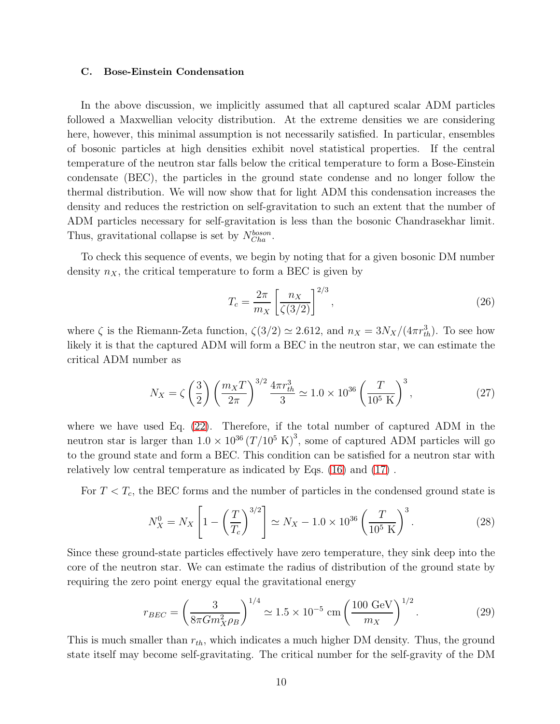#### C. Bose-Einstein Condensation

In the above discussion, we implicitly assumed that all captured scalar ADM particles followed a Maxwellian velocity distribution. At the extreme densities we are considering here, however, this minimal assumption is not necessarily satisfied. In particular, ensembles of bosonic particles at high densities exhibit novel statistical properties. If the central temperature of the neutron star falls below the critical temperature to form a Bose-Einstein condensate (BEC), the particles in the ground state condense and no longer follow the thermal distribution. We will now show that for light ADM this condensation increases the density and reduces the restriction on self-gravitation to such an extent that the number of ADM particles necessary for self-gravitation is less than the bosonic Chandrasekhar limit. Thus, gravitational collapse is set by  $N_{Cha}^{boson}$ .

To check this sequence of events, we begin by noting that for a given bosonic DM number density  $n_X$ , the critical temperature to form a BEC is given by

$$
T_c = \frac{2\pi}{m_X} \left[ \frac{n_X}{\zeta(3/2)} \right]^{2/3},\tag{26}
$$

where  $\zeta$  is the Riemann-Zeta function,  $\zeta(3/2) \simeq 2.612$ , and  $n_X = 3N_X/(4\pi r_{th}^3)$ . To see how likely it is that the captured ADM will form a BEC in the neutron star, we can estimate the critical ADM number as

$$
N_X = \zeta \left(\frac{3}{2}\right) \left(\frac{m_X T}{2\pi}\right)^{3/2} \frac{4\pi r_{th}^3}{3} \simeq 1.0 \times 10^{36} \left(\frac{T}{10^5 \text{ K}}\right)^3,\tag{27}
$$

where we have used Eq. [\(22\)](#page-8-1). Therefore, if the total number of captured ADM in the neutron star is larger than  $1.0 \times 10^{36} (T/10^5 \text{ K})^3$ , some of captured ADM particles will go to the ground state and form a BEC. This condition can be satisfied for a neutron star with relatively low central temperature as indicated by Eqs. [\(16\)](#page-6-0) and [\(17\)](#page-6-1) .

For  $T < T_c$ , the BEC forms and the number of particles in the condensed ground state is

<span id="page-9-0"></span>
$$
N_X^0 = N_X \left[ 1 - \left(\frac{T}{T_c}\right)^{3/2} \right] \simeq N_X - 1.0 \times 10^{36} \left(\frac{T}{10^5 \text{ K}}\right)^3. \tag{28}
$$

Since these ground-state particles effectively have zero temperature, they sink deep into the core of the neutron star. We can estimate the radius of distribution of the ground state by requiring the zero point energy equal the gravitational energy

<span id="page-9-1"></span>
$$
r_{BEC} = \left(\frac{3}{8\pi G m_X^2 \rho_B}\right)^{1/4} \simeq 1.5 \times 10^{-5} \text{ cm} \left(\frac{100 \text{ GeV}}{m_X}\right)^{1/2}.
$$
 (29)

This is much smaller than  $r_{th}$ , which indicates a much higher DM density. Thus, the ground state itself may become self-gravitating. The critical number for the self-gravity of the DM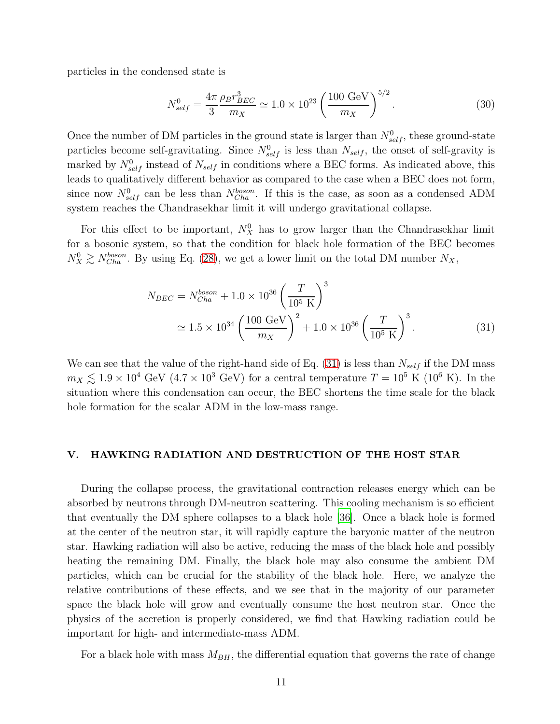particles in the condensed state is

$$
N_{self}^{0} = \frac{4\pi}{3} \frac{\rho_B r_{BEC}^3}{m_X} \simeq 1.0 \times 10^{23} \left(\frac{100 \text{ GeV}}{m_X}\right)^{5/2}.
$$
 (30)

Once the number of DM particles in the ground state is larger than  $N_{self}^0$ , these ground-state particles become self-gravitating. Since  $N_{self}^0$  is less than  $N_{self}$ , the onset of self-gravity is marked by  $N_{self}^0$  instead of  $N_{self}$  in conditions where a BEC forms. As indicated above, this leads to qualitatively different behavior as compared to the case when a BEC does not form, since now  $N_{self}^0$  can be less than  $N_{Cha}^{boson}$ . If this is the case, as soon as a condensed ADM system reaches the Chandrasekhar limit it will undergo gravitational collapse.

For this effect to be important,  $N_X^0$  has to grow larger than the Chandrasekhar limit for a bosonic system, so that the condition for black hole formation of the BEC becomes  $N_X^0 \gtrsim N_{Cha}^{boson}$ . By using Eq. [\(28\)](#page-9-0), we get a lower limit on the total DM number  $N_X$ ,

<span id="page-10-0"></span>
$$
N_{BEC} = N_{Cha}^{boson} + 1.0 \times 10^{36} \left(\frac{T}{10^5 \text{ K}}\right)^3
$$
  

$$
\approx 1.5 \times 10^{34} \left(\frac{100 \text{ GeV}}{m_X}\right)^2 + 1.0 \times 10^{36} \left(\frac{T}{10^5 \text{ K}}\right)^3.
$$
 (31)

We can see that the value of the right-hand side of Eq.  $(31)$  is less than  $N_{self}$  if the DM mass  $m_X \lesssim 1.9 \times 10^4$  GeV  $(4.7 \times 10^3$  GeV) for a central temperature  $T = 10^5$  K  $(10^6$  K). In the situation where this condensation can occur, the BEC shortens the time scale for the black hole formation for the scalar ADM in the low-mass range.

## V. HAWKING RADIATION AND DESTRUCTION OF THE HOST STAR

During the collapse process, the gravitational contraction releases energy which can be absorbed by neutrons through DM-neutron scattering. This cooling mechanism is so efficient that eventually the DM sphere collapses to a black hole [\[36](#page-22-10)]. Once a black hole is formed at the center of the neutron star, it will rapidly capture the baryonic matter of the neutron star. Hawking radiation will also be active, reducing the mass of the black hole and possibly heating the remaining DM. Finally, the black hole may also consume the ambient DM particles, which can be crucial for the stability of the black hole. Here, we analyze the relative contributions of these effects, and we see that in the majority of our parameter space the black hole will grow and eventually consume the host neutron star. Once the physics of the accretion is properly considered, we find that Hawking radiation could be important for high- and intermediate-mass ADM.

For a black hole with mass  $M_{BH}$ , the differential equation that governs the rate of change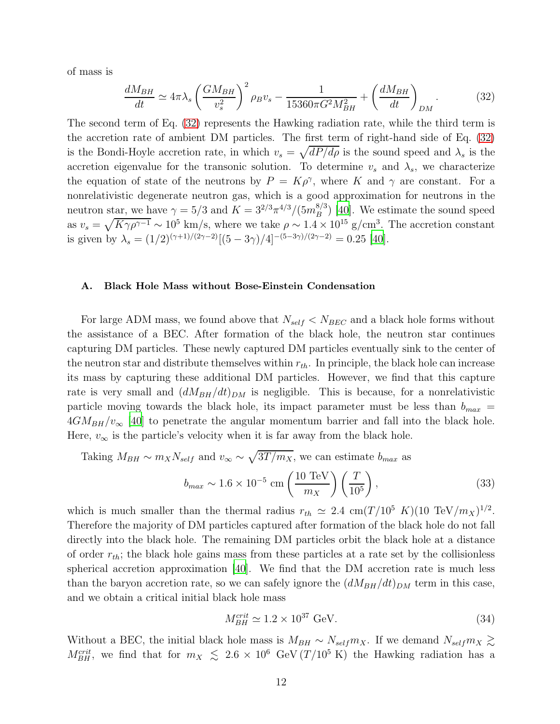of mass is

<span id="page-11-0"></span>
$$
\frac{dM_{BH}}{dt} \simeq 4\pi\lambda_s \left(\frac{GM_{BH}}{v_s^2}\right)^2 \rho_B v_s - \frac{1}{15360\pi G^2 M_{BH}^2} + \left(\frac{dM_{BH}}{dt}\right)_{DM}.
$$
 (32)

The second term of Eq. [\(32\)](#page-11-0) represents the Hawking radiation rate, while the third term is the accretion rate of ambient DM particles. The first term of right-hand side of Eq. [\(32\)](#page-11-0) is the Bondi-Hoyle accretion rate, in which  $v_s = \sqrt{dP/d\rho}$  is the sound speed and  $\lambda_s$  is the accretion eigenvalue for the transonic solution. To determine  $v_s$  and  $\lambda_s$ , we characterize the equation of state of the neutrons by  $P = K\rho^{\gamma}$ , where K and  $\gamma$  are constant. For a nonrelativistic degenerate neutron gas, which is a good approximation for neutrons in the neutron star, we have  $\gamma = 5/3$  and  $K = 3^{2/3} \pi^{4/3} / (5 m_B^{8/3})$  $\binom{8}{3}$  [\[40\]](#page-22-13). We estimate the sound speed as  $v_s = \sqrt{K\gamma \rho^{\gamma-1}} \sim 10^5$  km/s, where we take  $\rho \sim 1.4 \times 10^{15}$  g/cm<sup>3</sup>. The accretion constant is given by  $\lambda_s = (1/2)^{(\gamma+1)/(2\gamma-2)}[(5-3\gamma)/4]^{-(5-3\gamma)/(2\gamma-2)} = 0.25$  [\[40](#page-22-13)].

#### A. Black Hole Mass without Bose-Einstein Condensation

For large ADM mass, we found above that  $N_{self} < N_{BEC}$  and a black hole forms without the assistance of a BEC. After formation of the black hole, the neutron star continues capturing DM particles. These newly captured DM particles eventually sink to the center of the neutron star and distribute themselves within  $r_{th}$ . In principle, the black hole can increase its mass by capturing these additional DM particles. However, we find that this capture rate is very small and  $(dM_{BH}/dt)_{DM}$  is negligible. This is because, for a nonrelativistic particle moving towards the black hole, its impact parameter must be less than  $b_{max}$  =  $4GM_{BH}/v_{\infty}$  [\[40\]](#page-22-13) to penetrate the angular momentum barrier and fall into the black hole. Here,  $v_{\infty}$  is the particle's velocity when it is far away from the black hole.

Taking 
$$
M_{BH} \sim m_X N_{self}
$$
 and  $v_{\infty} \sim \sqrt{3T/m_X}$ , we can estimate  $b_{max}$  as  

$$
b_{max} \sim 1.6 \times 10^{-5} \text{ cm} \left(\frac{10 \text{ TeV}}{m_X}\right) \left(\frac{T}{10^5}\right), \tag{33}
$$

which is much smaller than the thermal radius  $r_{th} \simeq 2.4 \text{ cm} (T/10^5 \text{ K})(10 \text{ TeV}/m_X)^{1/2}$ . Therefore the majority of DM particles captured after formation of the black hole do not fall directly into the black hole. The remaining DM particles orbit the black hole at a distance of order  $r_{th}$ ; the black hole gains mass from these particles at a rate set by the collisionless spherical accretion approximation [\[40\]](#page-22-13). We find that the DM accretion rate is much less than the baryon accretion rate, so we can safely ignore the  $(dM_{BH}/dt)_{DM}$  term in this case, and we obtain a critical initial black hole mass

$$
M_{BH}^{crit} \simeq 1.2 \times 10^{37} \text{ GeV}.
$$
 (34)

Without a BEC, the initial black hole mass is  $M_{BH} \sim N_{self} m_X$ . If we demand  $N_{self} m_X \gtrsim$  $M_{BH}^{crit}$ , we find that for  $m_X \leq 2.6 \times 10^6$  GeV  $(T/10^5 \text{ K})$  the Hawking radiation has a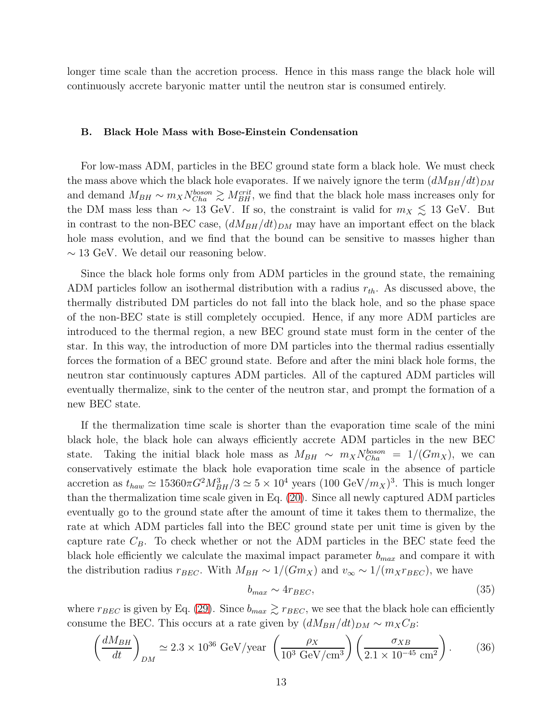longer time scale than the accretion process. Hence in this mass range the black hole will continuously accrete baryonic matter until the neutron star is consumed entirely.

#### B. Black Hole Mass with Bose-Einstein Condensation

For low-mass ADM, particles in the BEC ground state form a black hole. We must check the mass above which the black hole evaporates. If we naively ignore the term  $(dM_{BH}/dt)_{DM}$ and demand  $M_{BH} \sim m_X N_{Cha}^{boson} \gtrsim M_{BH}^{crit}$ , we find that the black hole mass increases only for the DM mass less than  $\sim 13$  GeV. If so, the constraint is valid for  $m_X \lesssim 13$  GeV. But in contrast to the non-BEC case,  $(dM_{BH}/dt)_{DM}$  may have an important effect on the black hole mass evolution, and we find that the bound can be sensitive to masses higher than  $\sim$  13 GeV. We detail our reasoning below.

Since the black hole forms only from ADM particles in the ground state, the remaining ADM particles follow an isothermal distribution with a radius  $r_{th}$ . As discussed above, the thermally distributed DM particles do not fall into the black hole, and so the phase space of the non-BEC state is still completely occupied. Hence, if any more ADM particles are introduced to the thermal region, a new BEC ground state must form in the center of the star. In this way, the introduction of more DM particles into the thermal radius essentially forces the formation of a BEC ground state. Before and after the mini black hole forms, the neutron star continuously captures ADM particles. All of the captured ADM particles will eventually thermalize, sink to the center of the neutron star, and prompt the formation of a new BEC state.

If the thermalization time scale is shorter than the evaporation time scale of the mini black hole, the black hole can always efficiently accrete ADM particles in the new BEC state. Taking the initial black hole mass as  $M_{BH} \sim m_X N_{Cha}^{boson} = 1/(Gm_X)$ , we can conservatively estimate the black hole evaporation time scale in the absence of particle accretion as  $t_{haw} \simeq 15360 \pi G^2 M_{BH}^3/3 \simeq 5 \times 10^4$  years  $(100 \text{ GeV}/m_X)^3$ . This is much longer than the thermalization time scale given in Eq. [\(20\)](#page-7-1). Since all newly captured ADM particles eventually go to the ground state after the amount of time it takes them to thermalize, the rate at which ADM particles fall into the BEC ground state per unit time is given by the capture rate  $C_B$ . To check whether or not the ADM particles in the BEC state feed the black hole efficiently we calculate the maximal impact parameter  $b_{max}$  and compare it with the distribution radius  $r_{BEC}$ . With  $M_{BH} \sim 1/(Gm_X)$  and  $v_{\infty} \sim 1/(m_X r_{BEC})$ , we have

$$
b_{max} \sim 4r_{BEC},\tag{35}
$$

where  $r_{BEC}$  is given by Eq. [\(29\)](#page-9-1). Since  $b_{max} \gtrsim r_{BEC}$ , we see that the black hole can efficiently consume the BEC. This occurs at a rate given by  $(dM_{BH}/dt)_{DM} \sim m_X C_B$ :

$$
\left(\frac{dM_{BH}}{dt}\right)_{DM} \simeq 2.3 \times 10^{36} \text{ GeV/year} \left(\frac{\rho_X}{10^3 \text{ GeV/cm}^3}\right) \left(\frac{\sigma_{XB}}{2.1 \times 10^{-45} \text{ cm}^2}\right). \tag{36}
$$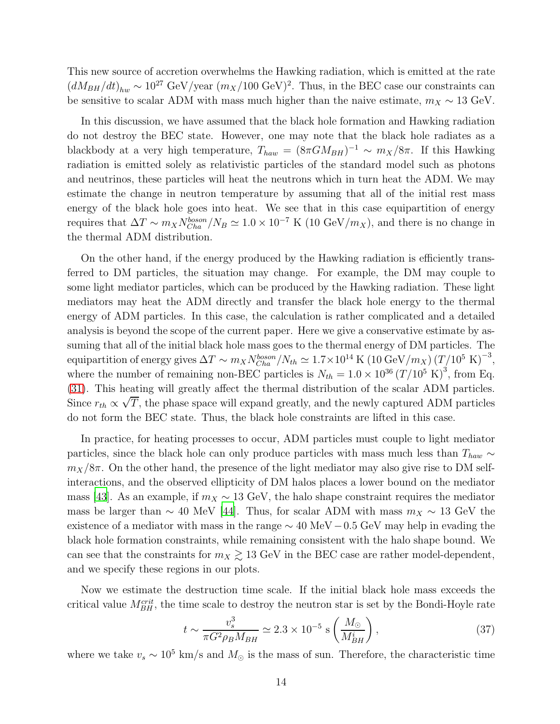This new source of accretion overwhelms the Hawking radiation, which is emitted at the rate  $(dM_{BH}/dt)_{hw} \sim 10^{27} \text{ GeV/year } (m_X/100 \text{ GeV})^2$ . Thus, in the BEC case our constraints can be sensitive to scalar ADM with mass much higher than the naive estimate,  $m_X \sim 13 \text{ GeV}$ .

In this discussion, we have assumed that the black hole formation and Hawking radiation do not destroy the BEC state. However, one may note that the black hole radiates as a blackbody at a very high temperature,  $T_{haw} = (8\pi G M_{BH})^{-1} \sim m_X/8\pi$ . If this Hawking radiation is emitted solely as relativistic particles of the standard model such as photons and neutrinos, these particles will heat the neutrons which in turn heat the ADM. We may estimate the change in neutron temperature by assuming that all of the initial rest mass energy of the black hole goes into heat. We see that in this case equipartition of energy requires that  $\Delta T \sim m_X N_{Cha}^{boson}/N_B \simeq 1.0 \times 10^{-7}$  K (10 GeV/ $m_X$ ), and there is no change in the thermal ADM distribution.

On the other hand, if the energy produced by the Hawking radiation is efficiently transferred to DM particles, the situation may change. For example, the DM may couple to some light mediator particles, which can be produced by the Hawking radiation. These light mediators may heat the ADM directly and transfer the black hole energy to the thermal energy of ADM particles. In this case, the calculation is rather complicated and a detailed analysis is beyond the scope of the current paper. Here we give a conservative estimate by assuming that all of the initial black hole mass goes to the thermal energy of DM particles. The equipartition of energy gives  $\Delta T \sim m_X N_{Cha}^{boson}/N_{th} \simeq 1.7 \times 10^{14} \text{ K } (10 \text{ GeV}/m_X) (T/10^5 \text{ K})^{-3}$ , where the number of remaining non-BEC particles is  $N_{th} = 1.0 \times 10^{36} (T/10^5 \text{ K})^3$ , from Eq. [\(31\)](#page-10-0). This heating will greatly affect the thermal distribution of the scalar ADM particles. Since  $r_{th} \propto \sqrt{T}$ , the phase space will expand greatly, and the newly captured ADM particles do not form the BEC state. Thus, the black hole constraints are lifted in this case.

In practice, for heating processes to occur, ADM particles must couple to light mediator particles, since the black hole can only produce particles with mass much less than  $T_{haw} \sim$  $m_X/8\pi$ . On the other hand, the presence of the light mediator may also give rise to DM selfinteractions, and the observed ellipticity of DM halos places a lower bound on the mediator mass [\[43\]](#page-22-16). As an example, if  $m_X \sim 13 \text{ GeV}$ , the halo shape constraint requires the mediator mass be larger than  $\sim 40$  MeV [\[44](#page-22-17)]. Thus, for scalar ADM with mass  $m_X \sim 13$  GeV the existence of a mediator with mass in the range  $\sim 40 \text{ MeV} - 0.5 \text{ GeV}$  may help in evading the black hole formation constraints, while remaining consistent with the halo shape bound. We can see that the constraints for  $m_X \gtrsim 13$  GeV in the BEC case are rather model-dependent, and we specify these regions in our plots.

Now we estimate the destruction time scale. If the initial black hole mass exceeds the critical value  $M_{BH}^{crit}$ , the time scale to destroy the neutron star is set by the Bondi-Hoyle rate

$$
t \sim \frac{v_s^3}{\pi G^2 \rho_B M_{BH}} \simeq 2.3 \times 10^{-5} \text{ s} \left(\frac{M_{\odot}}{M_{BH}^i}\right),\tag{37}
$$

where we take  $v_s \sim 10^5$  km/s and  $M_{\odot}$  is the mass of sun. Therefore, the characteristic time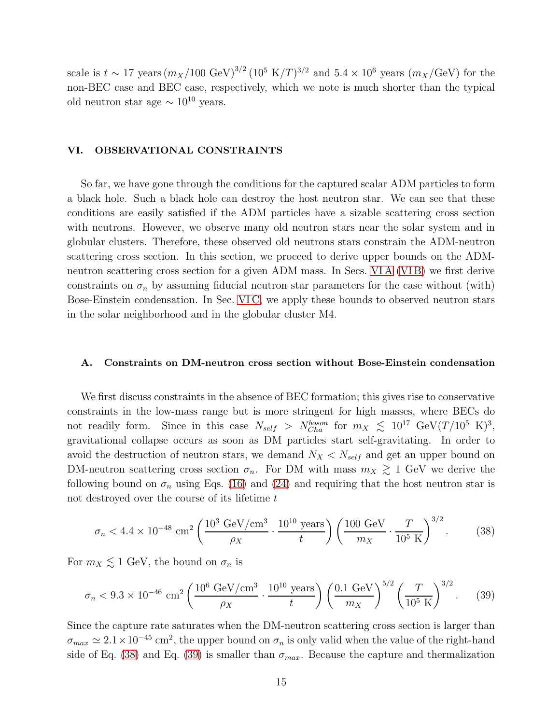scale is  $t \sim 17$  years  $(m_X/100 \text{ GeV})^{3/2} (10^5 \text{ K}/T)^{3/2}$  and  $5.4 \times 10^6$  years  $(m_X/\text{GeV})$  for the non-BEC case and BEC case, respectively, which we note is much shorter than the typical old neutron star age  $\sim 10^{10}$  years.

## VI. OBSERVATIONAL CONSTRAINTS

So far, we have gone through the conditions for the captured scalar ADM particles to form a black hole. Such a black hole can destroy the host neutron star. We can see that these conditions are easily satisfied if the ADM particles have a sizable scattering cross section with neutrons. However, we observe many old neutron stars near the solar system and in globular clusters. Therefore, these observed old neutrons stars constrain the ADM-neutron scattering cross section. In this section, we proceed to derive upper bounds on the ADMneutron scattering cross section for a given ADM mass. In Secs. VIA (VIB) we first derive constraints on  $\sigma_n$  by assuming fiducial neutron star parameters for the case without (with) Bose-Einstein condensation. In Sec. [VI C,](#page-17-0) we apply these bounds to observed neutron stars in the solar neighborhood and in the globular cluster M4.

## <span id="page-14-0"></span>A. Constraints on DM-neutron cross section without Bose-Einstein condensation

We first discuss constraints in the absence of BEC formation; this gives rise to conservative constraints in the low-mass range but is more stringent for high masses, where BECs do not readily form. Since in this case  $N_{self} > N_{Cha}^{boson}$  for  $m_X \leq 10^{17} \text{ GeV} (T/10^5 \text{ K})^3$ , gravitational collapse occurs as soon as DM particles start self-gravitating. In order to avoid the destruction of neutron stars, we demand  $N_X < N_{self}$  and get an upper bound on DM-neutron scattering cross section  $\sigma_n$ . For DM with mass  $m_X \gtrsim 1$  GeV we derive the following bound on  $\sigma_n$  using Eqs. [\(16\)](#page-6-0) and [\(24\)](#page-8-2) and requiring that the host neutron star is not destroyed over the course of its lifetime  $t$ 

<span id="page-14-1"></span>
$$
\sigma_n < 4.4 \times 10^{-48} \, \text{cm}^2 \left( \frac{10^3 \, \text{GeV}/\text{cm}^3}{\rho_X} \cdot \frac{10^{10} \, \text{years}}{t} \right) \left( \frac{100 \, \text{GeV}}{m_X} \cdot \frac{T}{10^5 \, \text{K}} \right)^{3/2} . \tag{38}
$$

For  $m_X \lesssim 1$  GeV, the bound on  $\sigma_n$  is

<span id="page-14-2"></span>
$$
\sigma_n < 9.3 \times 10^{-46} \, \text{cm}^2 \left( \frac{10^6 \, \text{GeV}/\text{cm}^3}{\rho_X} \cdot \frac{10^{10} \, \text{years}}{t} \right) \left( \frac{0.1 \, \text{GeV}}{m_X} \right)^{5/2} \left( \frac{T}{10^5 \, \text{K}} \right)^{3/2} . \tag{39}
$$

Since the capture rate saturates when the DM-neutron scattering cross section is larger than  $\sigma_{max} \simeq 2.1 \times 10^{-45}$  cm<sup>2</sup>, the upper bound on  $\sigma_n$  is only valid when the value of the right-hand side of Eq. [\(38\)](#page-14-1) and Eq. [\(39\)](#page-14-2) is smaller than  $\sigma_{max}$ . Because the capture and thermalization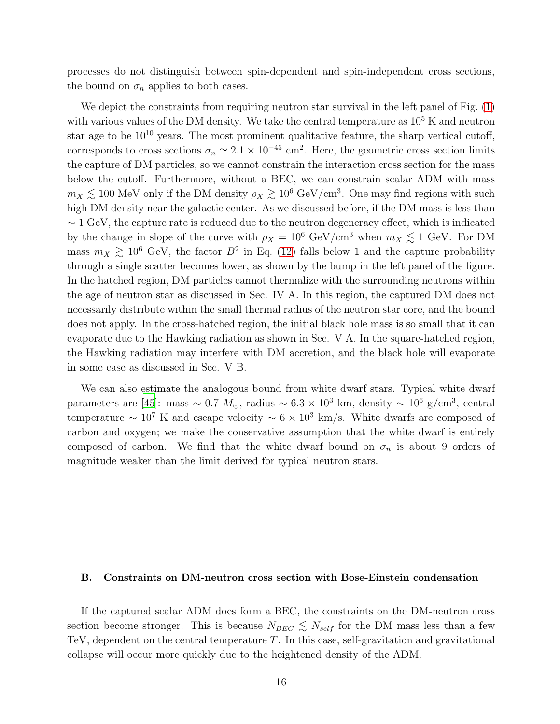processes do not distinguish between spin-dependent and spin-independent cross sections, the bound on  $\sigma_n$  applies to both cases.

We depict the constraints from requiring neutron star survival in the left panel of Fig.  $(1)$ with various values of the DM density. We take the central temperature as  $10<sup>5</sup>$  K and neutron star age to be  $10^{10}$  years. The most prominent qualitative feature, the sharp vertical cutoff, corresponds to cross sections  $\sigma_n \simeq 2.1 \times 10^{-45}$  cm<sup>2</sup>. Here, the geometric cross section limits the capture of DM particles, so we cannot constrain the interaction cross section for the mass below the cutoff. Furthermore, without a BEC, we can constrain scalar ADM with mass  $m_X \lesssim 100$  MeV only if the DM density  $\rho_X \gtrsim 10^6$  GeV/cm<sup>3</sup>. One may find regions with such high DM density near the galactic center. As we discussed before, if the DM mass is less than  $\sim$  1 GeV, the capture rate is reduced due to the neutron degeneracy effect, which is indicated by the change in slope of the curve with  $\rho_X = 10^6 \text{ GeV/cm}^3$  when  $m_X \lesssim 1 \text{ GeV}$ . For DM mass  $m_X \gtrsim 10^6$  GeV, the factor  $B^2$  in Eq. [\(12\)](#page-5-0) falls below 1 and the capture probability through a single scatter becomes lower, as shown by the bump in the left panel of the figure. In the hatched region, DM particles cannot thermalize with the surrounding neutrons within the age of neutron star as discussed in Sec. IV A. In this region, the captured DM does not necessarily distribute within the small thermal radius of the neutron star core, and the bound does not apply. In the cross-hatched region, the initial black hole mass is so small that it can evaporate due to the Hawking radiation as shown in Sec. V A. In the square-hatched region, the Hawking radiation may interfere with DM accretion, and the black hole will evaporate in some case as discussed in Sec. V B.

We can also estimate the analogous bound from white dwarf stars. Typical white dwarf parameters are [\[45](#page-23-0)]: mass ~ 0.7  $M_{\odot}$ , radius ~ 6.3 × 10<sup>3</sup> km, density ~ 10<sup>6</sup> g/cm<sup>3</sup>, central temperature  $\sim 10^7$  K and escape velocity  $\sim 6 \times 10^3$  km/s. White dwarfs are composed of carbon and oxygen; we make the conservative assumption that the white dwarf is entirely composed of carbon. We find that the white dwarf bound on  $\sigma_n$  is about 9 orders of magnitude weaker than the limit derived for typical neutron stars.

## <span id="page-15-0"></span>B. Constraints on DM-neutron cross section with Bose-Einstein condensation

If the captured scalar ADM does form a BEC, the constraints on the DM-neutron cross section become stronger. This is because  $N_{BEC} \leq N_{self}$  for the DM mass less than a few TeV, dependent on the central temperature  $T$ . In this case, self-gravitation and gravitational collapse will occur more quickly due to the heightened density of the ADM.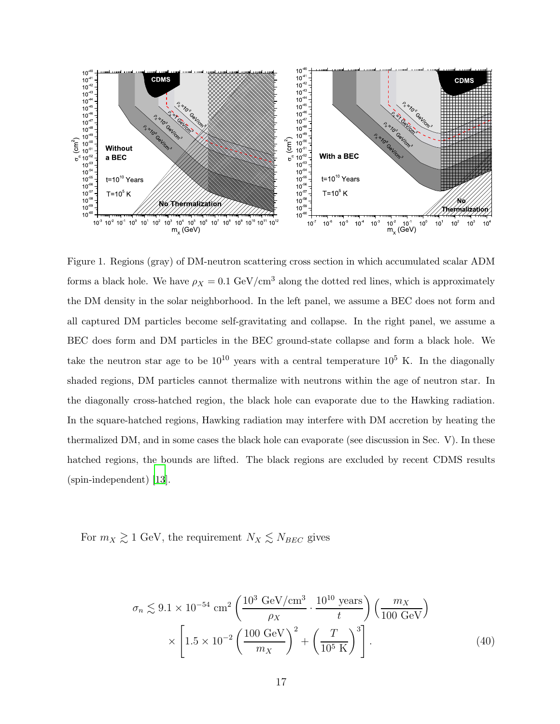

<span id="page-16-0"></span>Figure 1. Regions (gray) of DM-neutron scattering cross section in which accumulated scalar ADM forms a black hole. We have  $\rho_X = 0.1 \text{ GeV/cm}^3$  along the dotted red lines, which is approximately the DM density in the solar neighborhood. In the left panel, we assume a BEC does not form and all captured DM particles become self-gravitating and collapse. In the right panel, we assume a BEC does form and DM particles in the BEC ground-state collapse and form a black hole. We take the neutron star age to be  $10^{10}$  years with a central temperature  $10^5$  K. In the diagonally shaded regions, DM particles cannot thermalize with neutrons within the age of neutron star. In the diagonally cross-hatched region, the black hole can evaporate due to the Hawking radiation. In the square-hatched regions, Hawking radiation may interfere with DM accretion by heating the thermalized DM, and in some cases the black hole can evaporate (see discussion in Sec. V). In these hatched regions, the bounds are lifted. The black regions are excluded by recent CDMS results (spin-independent) [\[13\]](#page-21-6).

For  $m_X \gtrsim 1$  GeV, the requirement  $N_X \lesssim N_{BEC}$  gives

$$
\sigma_n \lesssim 9.1 \times 10^{-54} \text{ cm}^2 \left( \frac{10^3 \text{ GeV/cm}^3}{\rho_X} \cdot \frac{10^{10} \text{ years}}{t} \right) \left( \frac{m_X}{100 \text{ GeV}} \right) \times \left[ 1.5 \times 10^{-2} \left( \frac{100 \text{ GeV}}{m_X} \right)^2 + \left( \frac{T}{10^5 \text{ K}} \right)^3 \right]. \tag{40}
$$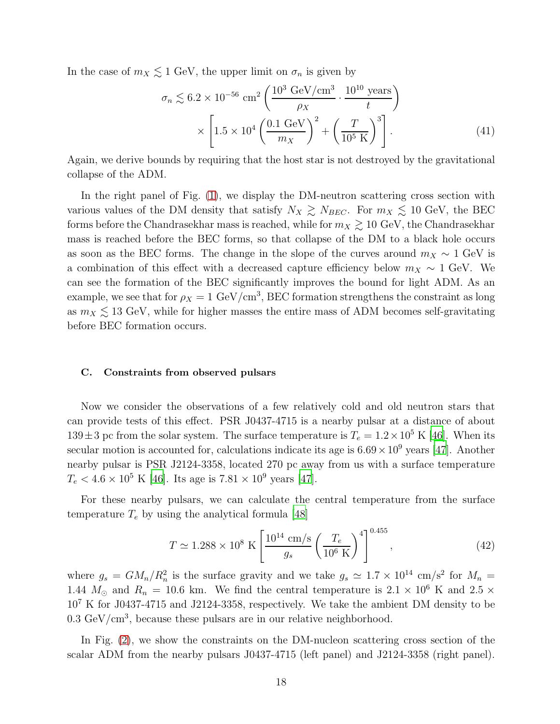In the case of  $m_X \lesssim 1$  GeV, the upper limit on  $\sigma_n$  is given by

$$
\sigma_n \lesssim 6.2 \times 10^{-56} \text{ cm}^2 \left( \frac{10^3 \text{ GeV/cm}^3}{\rho_X} \cdot \frac{10^{10} \text{ years}}{t} \right) \times \left[ 1.5 \times 10^4 \left( \frac{0.1 \text{ GeV}}{m_X} \right)^2 + \left( \frac{T}{10^5 \text{ K}} \right)^3 \right]. \tag{41}
$$

Again, we derive bounds by requiring that the host star is not destroyed by the gravitational collapse of the ADM.

In the right panel of Fig.  $(1)$ , we display the DM-neutron scattering cross section with various values of the DM density that satisfy  $N_X \gtrsim N_{BEC}$ . For  $m_X \lesssim 10$  GeV, the BEC forms before the Chandrasekhar mass is reached, while for  $m_X \gtrsim 10 \text{ GeV}$ , the Chandrasekhar mass is reached before the BEC forms, so that collapse of the DM to a black hole occurs as soon as the BEC forms. The change in the slope of the curves around  $m_X \sim 1$  GeV is a combination of this effect with a decreased capture efficiency below  $m_X \sim 1$  GeV. We can see the formation of the BEC significantly improves the bound for light ADM. As an example, we see that for  $\rho_X = 1 \text{ GeV/cm}^3$ , BEC formation strengthens the constraint as long as  $m_X \lesssim 13$  GeV, while for higher masses the entire mass of ADM becomes self-gravitating before BEC formation occurs.

# <span id="page-17-0"></span>C. Constraints from observed pulsars

Now we consider the observations of a few relatively cold and old neutron stars that can provide tests of this effect. PSR J0437-4715 is a nearby pulsar at a distance of about  $139 \pm 3$  pc from the solar system. The surface temperature is  $T_e = 1.2 \times 10^5$  K [\[46](#page-23-1)]. When its secular motion is accounted for, calculations indicate its age is  $6.69 \times 10^9$  years [\[47](#page-23-2)]. Another nearby pulsar is PSR J2124-3358, located 270 pc away from us with a surface temperature  $T_e < 4.6 \times 10^5$  K [\[46](#page-23-1)]. Its age is  $7.81 \times 10^9$  years [\[47\]](#page-23-2).

For these nearby pulsars, we can calculate the central temperature from the surface temperature  $T_e$  by using the analytical formula [\[48\]](#page-23-3)

$$
T \simeq 1.288 \times 10^8 \text{ K} \left[ \frac{10^{14} \text{ cm/s}}{g_s} \left( \frac{T_e}{10^6 \text{ K}} \right)^4 \right]^{0.455},\tag{42}
$$

where  $g_s = GM_n/R_n^2$  is the surface gravity and we take  $g_s \simeq 1.7 \times 10^{14}$  cm/s<sup>2</sup> for  $M_n =$ 1.44  $M_{\odot}$  and  $R_n = 10.6$  km. We find the central temperature is  $2.1 \times 10^6$  K and  $2.5 \times$ 10<sup>7</sup> K for J0437-4715 and J2124-3358, respectively. We take the ambient DM density to be  $0.3 \text{ GeV/cm}^3$ , because these pulsars are in our relative neighborhood.

In Fig. [\(2\)](#page-18-0), we show the constraints on the DM-nucleon scattering cross section of the scalar ADM from the nearby pulsars J0437-4715 (left panel) and J2124-3358 (right panel).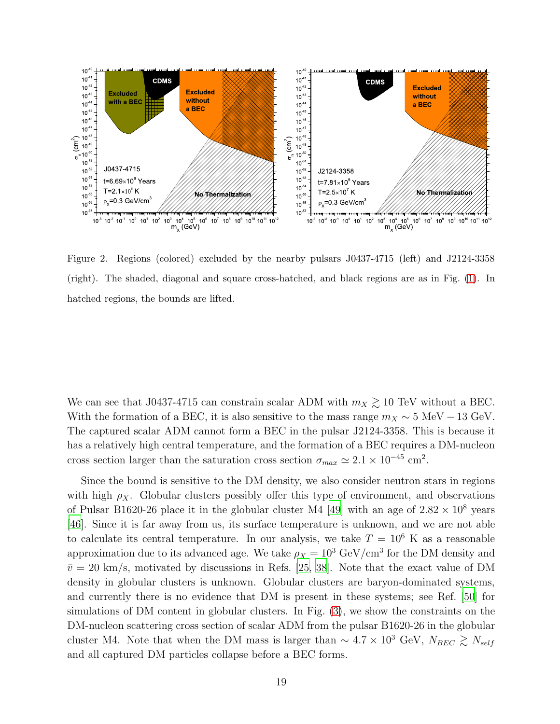

<span id="page-18-0"></span>Figure 2. Regions (colored) excluded by the nearby pulsars J0437-4715 (left) and J2124-3358 (right). The shaded, diagonal and square cross-hatched, and black regions are as in Fig. [\(1\)](#page-16-0). In hatched regions, the bounds are lifted.

We can see that J0437-4715 can constrain scalar ADM with  $m_X \gtrsim 10$  TeV without a BEC. With the formation of a BEC, it is also sensitive to the mass range  $m_X \sim 5 \text{ MeV} - 13 \text{ GeV}$ . The captured scalar ADM cannot form a BEC in the pulsar J2124-3358. This is because it has a relatively high central temperature, and the formation of a BEC requires a DM-nucleon cross section larger than the saturation cross section  $\sigma_{max} \simeq 2.1 \times 10^{-45}$  cm<sup>2</sup>.

Since the bound is sensitive to the DM density, we also consider neutron stars in regions with high  $\rho_X$ . Globular clusters possibly offer this type of environment, and observations of Pulsar B1620-26 place it in the globular cluster M4 [\[49\]](#page-23-4) with an age of  $2.82 \times 10^8$  years [\[46](#page-23-1)]. Since it is far away from us, its surface temperature is unknown, and we are not able to calculate its central temperature. In our analysis, we take  $T = 10^6$  K as a reasonable approximation due to its advanced age. We take  $\rho_X = 10^3$  GeV/cm<sup>3</sup> for the DM density and  $\bar{v} = 20$  km/s, motivated by discussions in Refs. [\[25](#page-22-2), [38](#page-22-11)]. Note that the exact value of DM density in globular clusters is unknown. Globular clusters are baryon-dominated systems, and currently there is no evidence that DM is present in these systems; see Ref. [\[50](#page-23-5)] for simulations of DM content in globular clusters. In Fig. [\(3\)](#page-19-0), we show the constraints on the DM-nucleon scattering cross section of scalar ADM from the pulsar B1620-26 in the globular cluster M4. Note that when the DM mass is larger than  $\sim 4.7 \times 10^3$  GeV,  $N_{BEC} \gtrsim N_{self}$ and all captured DM particles collapse before a BEC forms.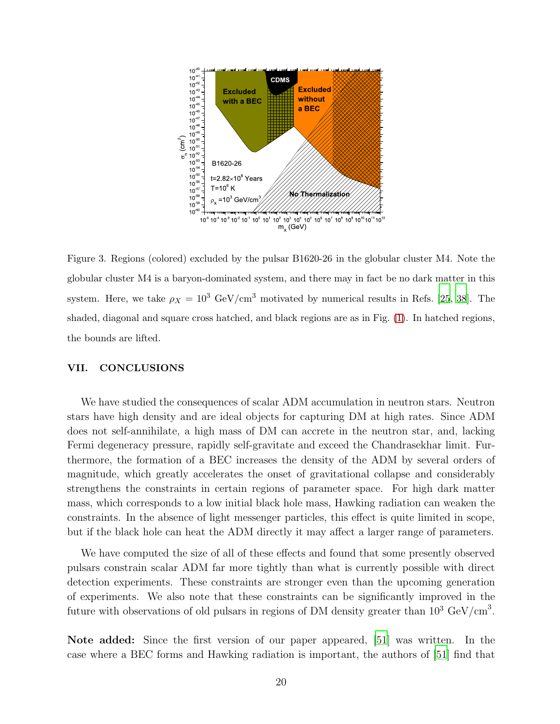

<span id="page-19-0"></span>Figure 3. Regions (colored) excluded by the pulsar B1620-26 in the globular cluster M4. Note the globular cluster M4 is a baryon-dominated system, and there may in fact be no dark matter in this system. Here, we take  $\rho_X = 10^3$  GeV/cm<sup>3</sup> motivated by numerical results in Refs. [\[25](#page-22-2), [38](#page-22-11)]. The shaded, diagonal and square cross hatched, and black regions are as in Fig. [\(1\)](#page-16-0). In hatched regions, the bounds are lifted.

#### VII. CONCLUSIONS

We have studied the consequences of scalar ADM accumulation in neutron stars. Neutron stars have high density and are ideal objects for capturing DM at high rates. Since ADM does not self-annihilate, a high mass of DM can accrete in the neutron star, and, lacking Fermi degeneracy pressure, rapidly self-gravitate and exceed the Chandrasekhar limit. Furthermore, the formation of a BEC increases the density of the ADM by several orders of magnitude, which greatly accelerates the onset of gravitational collapse and considerably strengthens the constraints in certain regions of parameter space. For high dark matter mass, which corresponds to a low initial black hole mass, Hawking radiation can weaken the constraints. In the absence of light messenger particles, this effect is quite limited in scope, but if the black hole can heat the ADM directly it may affect a larger range of parameters.

We have computed the size of all of these effects and found that some presently observed pulsars constrain scalar ADM far more tightly than what is currently possible with direct detection experiments. These constraints are stronger even than the upcoming generation of experiments. We also note that these constraints can be significantly improved in the future with observations of old pulsars in regions of DM density greater than  $10^3 \text{ GeV/cm}^3$ .

Note added: Since the first version of our paper appeared, [\[51](#page-23-6)] was written. In the case where a BEC forms and Hawking radiation is important, the authors of [\[51\]](#page-23-6) find that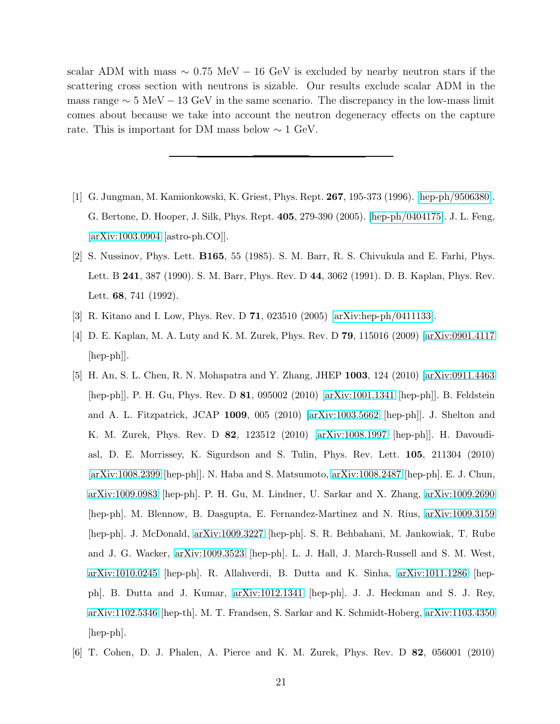scalar ADM with mass  $\sim 0.75 \text{ MeV} - 16 \text{ GeV}$  is excluded by nearby neutron stars if the scattering cross section with neutrons is sizable. Our results exclude scalar ADM in the mass range  $\sim 5 \text{ MeV} - 13 \text{ GeV}$  in the same scenario. The discrepancy in the low-mass limit comes about because we take into account the neutron degeneracy effects on the capture rate. This is important for DM mass below  $\sim 1$  GeV.

- <span id="page-20-0"></span>[1] G. Jungman, M. Kamionkowski, K. Griest, Phys. Rept. 267, 195-373 (1996). [\[hep-ph/9506380\]](http://arxiv.org/abs/hep-ph/9506380). G. Bertone, D. Hooper, J. Silk, Phys. Rept. 405, 279-390 (2005). [\[hep-ph/0404175\]](http://arxiv.org/abs/hep-ph/0404175). J. L. Feng, [\[arXiv:1003.0904](http://arxiv.org/abs/1003.0904) [astro-ph.CO]].
- <span id="page-20-1"></span>[2] S. Nussinov, Phys. Lett. B165, 55 (1985). S. M. Barr, R. S. Chivukula and E. Farhi, Phys. Lett. B 241, 387 (1990). S. M. Barr, Phys. Rev. D 44, 3062 (1991). D. B. Kaplan, Phys. Rev. Lett. 68, 741 (1992).
- <span id="page-20-2"></span>[3] R. Kitano and I. Low, Phys. Rev. D 71, 023510 (2005) [\[arXiv:hep-ph/0411133\]](http://arxiv.org/abs/hep-ph/0411133).
- <span id="page-20-3"></span>[4] D. E. Kaplan, M. A. Luty and K. M. Zurek, Phys. Rev. D 79, 115016 (2009) [\[arXiv:0901.4117](http://arxiv.org/abs/0901.4117) [hep-ph]].
- <span id="page-20-4"></span>[5] H. An, S. L. Chen, R. N. Mohapatra and Y. Zhang, JHEP 1003, 124 (2010) [\[arXiv:0911.4463](http://arxiv.org/abs/0911.4463) [hep-ph]]. P. H. Gu, Phys. Rev. D 81, 095002 (2010) [\[arXiv:1001.1341](http://arxiv.org/abs/1001.1341) [hep-ph]]. B. Feldstein and A. L. Fitzpatrick, JCAP 1009, 005 (2010) [\[arXiv:1003.5662](http://arxiv.org/abs/1003.5662) [hep-ph]]. J. Shelton and K. M. Zurek, Phys. Rev. D 82, 123512 (2010) [\[arXiv:1008.1997](http://arxiv.org/abs/1008.1997) [hep-ph]]. H. Davoudiasl, D. E. Morrissey, K. Sigurdson and S. Tulin, Phys. Rev. Lett. 105, 211304 (2010) [\[arXiv:1008.2399](http://arxiv.org/abs/1008.2399) [hep-ph]]. N. Haba and S. Matsumoto, [arXiv:1008.2487](http://arxiv.org/abs/1008.2487) [hep-ph]. E. J. Chun, [arXiv:1009.0983](http://arxiv.org/abs/1009.0983) [hep-ph]. P. H. Gu, M. Lindner, U. Sarkar and X. Zhang, [arXiv:1009.2690](http://arxiv.org/abs/1009.2690) [hep-ph]. M. Blennow, B. Dasgupta, E. Fernandez-Martinez and N. Rius, [arXiv:1009.3159](http://arxiv.org/abs/1009.3159) [hep-ph]. J. McDonald, [arXiv:1009.3227](http://arxiv.org/abs/1009.3227) [hep-ph]. S. R. Behbahani, M. Jankowiak, T. Rube and J. G. Wacker, [arXiv:1009.3523](http://arxiv.org/abs/1009.3523) [hep-ph]. L. J. Hall, J. March-Russell and S. M. West, [arXiv:1010.0245](http://arxiv.org/abs/1010.0245) [hep-ph]. R. Allahverdi, B. Dutta and K. Sinha, [arXiv:1011.1286](http://arxiv.org/abs/1011.1286) [hepph]. B. Dutta and J. Kumar, [arXiv:1012.1341](http://arxiv.org/abs/1012.1341) [hep-ph]. J. J. Heckman and S. J. Rey, [arXiv:1102.5346](http://arxiv.org/abs/1102.5346) [hep-th]. M. T. Frandsen, S. Sarkar and K. Schmidt-Hoberg, [arXiv:1103.4350](http://arxiv.org/abs/1103.4350) [hep-ph].
- <span id="page-20-5"></span>[6] T. Cohen, D. J. Phalen, A. Pierce and K. M. Zurek, Phys. Rev. D 82, 056001 (2010)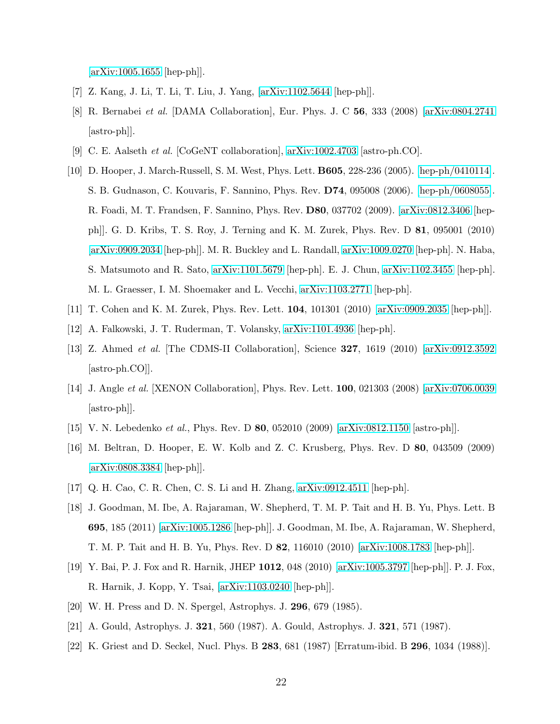$\arXiv:1005.1655$  [hep-ph]].

- <span id="page-21-0"></span>[7] Z. Kang, J. Li, T. Li, T. Liu, J. Yang, [\[arXiv:1102.5644](http://arxiv.org/abs/1102.5644) [hep-ph]].
- <span id="page-21-1"></span>[8] R. Bernabei et al. [DAMA Collaboration], Eur. Phys. J. C 56, 333 (2008) [\[arXiv:0804.2741](http://arxiv.org/abs/0804.2741) [astro-ph]].
- <span id="page-21-3"></span><span id="page-21-2"></span>[9] C. E. Aalseth et al. [CoGeNT collaboration], [arXiv:1002.4703](http://arxiv.org/abs/1002.4703) [astro-ph.CO].
- [10] D. Hooper, J. March-Russell, S. M. West, Phys. Lett. B605, 228-236 (2005). [\[hep-ph/0410114\]](http://arxiv.org/abs/hep-ph/0410114). S. B. Gudnason, C. Kouvaris, F. Sannino, Phys. Rev. D74, 095008 (2006). [\[hep-ph/0608055\]](http://arxiv.org/abs/hep-ph/0608055). R. Foadi, M. T. Frandsen, F. Sannino, Phys. Rev. D80, 037702 (2009). [\[arXiv:0812.3406](http://arxiv.org/abs/0812.3406) [hepph]]. G. D. Kribs, T. S. Roy, J. Terning and K. M. Zurek, Phys. Rev. D 81, 095001 (2010) [\[arXiv:0909.2034](http://arxiv.org/abs/0909.2034) [hep-ph]]. M. R. Buckley and L. Randall, [arXiv:1009.0270](http://arxiv.org/abs/1009.0270) [hep-ph]. N. Haba, S. Matsumoto and R. Sato, [arXiv:1101.5679](http://arxiv.org/abs/1101.5679) [hep-ph]. E. J. Chun, [arXiv:1102.3455](http://arxiv.org/abs/1102.3455) [hep-ph]. M. L. Graesser, I. M. Shoemaker and L. Vecchi, [arXiv:1103.2771](http://arxiv.org/abs/1103.2771) [hep-ph].
- <span id="page-21-5"></span><span id="page-21-4"></span>[11] T. Cohen and K. M. Zurek, Phys. Rev. Lett. 104, 101301 (2010) [\[arXiv:0909.2035](http://arxiv.org/abs/0909.2035) [hep-ph]].
- <span id="page-21-6"></span>[12] A. Falkowski, J. T. Ruderman, T. Volansky, [arXiv:1101.4936](http://arxiv.org/abs/1101.4936) [hep-ph].
- [13] Z. Ahmed et al. [The CDMS-II Collaboration], Science 327, 1619 (2010) [\[arXiv:0912.3592](http://arxiv.org/abs/0912.3592) [astro-ph.CO]].
- [14] J. Angle et al. [XENON Collaboration], Phys. Rev. Lett. 100, 021303 (2008) [\[arXiv:0706.0039](http://arxiv.org/abs/0706.0039) [astro-ph]].
- <span id="page-21-7"></span>[15] V. N. Lebedenko et al., Phys. Rev. D 80, 052010 (2009) [\[arXiv:0812.1150](http://arxiv.org/abs/0812.1150) [astro-ph]].
- <span id="page-21-8"></span>[16] M. Beltran, D. Hooper, E. W. Kolb and Z. C. Krusberg, Phys. Rev. D 80, 043509 (2009) [\[arXiv:0808.3384](http://arxiv.org/abs/0808.3384) [hep-ph]].
- [17] Q. H. Cao, C. R. Chen, C. S. Li and H. Zhang, [arXiv:0912.4511](http://arxiv.org/abs/0912.4511) [hep-ph].
- [18] J. Goodman, M. Ibe, A. Rajaraman, W. Shepherd, T. M. P. Tait and H. B. Yu, Phys. Lett. B 695, 185 (2011) [\[arXiv:1005.1286](http://arxiv.org/abs/1005.1286) [hep-ph]]. J. Goodman, M. Ibe, A. Rajaraman, W. Shepherd, T. M. P. Tait and H. B. Yu, Phys. Rev. D 82, 116010 (2010) [\[arXiv:1008.1783](http://arxiv.org/abs/1008.1783) [hep-ph]].
- <span id="page-21-9"></span>[19] Y. Bai, P. J. Fox and R. Harnik, JHEP 1012, 048 (2010) [\[arXiv:1005.3797](http://arxiv.org/abs/1005.3797) [hep-ph]]. P. J. Fox, R. Harnik, J. Kopp, Y. Tsai, [\[arXiv:1103.0240](http://arxiv.org/abs/1103.0240) [hep-ph]].
- <span id="page-21-10"></span>[20] W. H. Press and D. N. Spergel, Astrophys. J. 296, 679 (1985).
- <span id="page-21-12"></span>[21] A. Gould, Astrophys. J. 321, 560 (1987). A. Gould, Astrophys. J. 321, 571 (1987).
- <span id="page-21-11"></span>[22] K. Griest and D. Seckel, Nucl. Phys. B 283, 681 (1987) [Erratum-ibid. B 296, 1034 (1988)].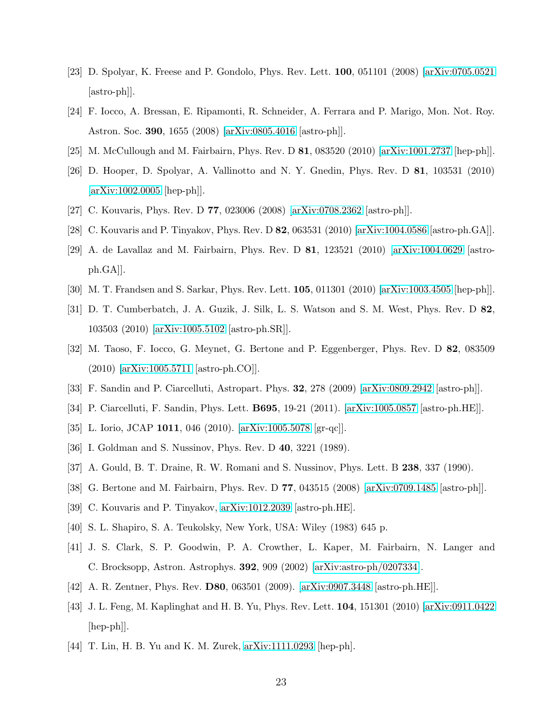- <span id="page-22-0"></span>[23] D. Spolyar, K. Freese and P. Gondolo, Phys. Rev. Lett. 100, 051101 (2008) [\[arXiv:0705.0521](http://arxiv.org/abs/0705.0521) [astro-ph]].
- <span id="page-22-1"></span>[24] F. Iocco, A. Bressan, E. Ripamonti, R. Schneider, A. Ferrara and P. Marigo, Mon. Not. Roy. Astron. Soc. 390, 1655 (2008) [\[arXiv:0805.4016](http://arxiv.org/abs/0805.4016) [astro-ph]].
- <span id="page-22-3"></span><span id="page-22-2"></span>[25] M. McCullough and M. Fairbairn, Phys. Rev. D 81, 083520 (2010) [\[arXiv:1001.2737](http://arxiv.org/abs/1001.2737) [hep-ph]].
- [26] D. Hooper, D. Spolyar, A. Vallinotto and N. Y. Gnedin, Phys. Rev. D 81, 103531 (2010) [\[arXiv:1002.0005](http://arxiv.org/abs/1002.0005) [hep-ph]].
- <span id="page-22-4"></span>[27] C. Kouvaris, Phys. Rev. D 77, 023006 (2008) [\[arXiv:0708.2362](http://arxiv.org/abs/0708.2362) [astro-ph]].
- <span id="page-22-5"></span>[28] C. Kouvaris and P. Tinyakov, Phys. Rev. D 82, 063531 (2010) [\[arXiv:1004.0586](http://arxiv.org/abs/1004.0586) [astro-ph.GA]].
- [29] A. de Lavallaz and M. Fairbairn, Phys. Rev. D 81, 123521 (2010) [\[arXiv:1004.0629](http://arxiv.org/abs/1004.0629) [astroph.GA]].
- <span id="page-22-6"></span>[30] M. T. Frandsen and S. Sarkar, Phys. Rev. Lett. 105, 011301 (2010) [\[arXiv:1003.4505](http://arxiv.org/abs/1003.4505) [hep-ph]].
- [31] D. T. Cumberbatch, J. A. Guzik, J. Silk, L. S. Watson and S. M. West, Phys. Rev. D 82, 103503 (2010) [\[arXiv:1005.5102](http://arxiv.org/abs/1005.5102) [astro-ph.SR]].
- <span id="page-22-7"></span>[32] M. Taoso, F. Iocco, G. Meynet, G. Bertone and P. Eggenberger, Phys. Rev. D 82, 083509 (2010) [\[arXiv:1005.5711](http://arxiv.org/abs/1005.5711) [astro-ph.CO]].
- <span id="page-22-8"></span>[33] F. Sandin and P. Ciarcelluti, Astropart. Phys. 32, 278 (2009) [\[arXiv:0809.2942](http://arxiv.org/abs/0809.2942) [astro-ph]].
- [34] P. Ciarcelluti, F. Sandin, Phys. Lett. B695, 19-21 (2011). [\[arXiv:1005.0857](http://arxiv.org/abs/1005.0857) [astro-ph.HE]].
- <span id="page-22-9"></span>[35] L. Iorio, JCAP 1011, 046 (2010). [\[arXiv:1005.5078](http://arxiv.org/abs/1005.5078) [gr-qc]].
- <span id="page-22-10"></span>[36] I. Goldman and S. Nussinov, Phys. Rev. D 40, 3221 (1989).
- [37] A. Gould, B. T. Draine, R. W. Romani and S. Nussinov, Phys. Lett. B 238, 337 (1990).
- <span id="page-22-11"></span>[38] G. Bertone and M. Fairbairn, Phys. Rev. D 77, 043515 (2008) [\[arXiv:0709.1485](http://arxiv.org/abs/0709.1485) [astro-ph]].
- <span id="page-22-12"></span>[39] C. Kouvaris and P. Tinyakov, [arXiv:1012.2039](http://arxiv.org/abs/1012.2039) [astro-ph.HE].
- <span id="page-22-13"></span>[40] S. L. Shapiro, S. A. Teukolsky, New York, USA: Wiley (1983) 645 p.
- <span id="page-22-14"></span>[41] J. S. Clark, S. P. Goodwin, P. A. Crowther, L. Kaper, M. Fairbairn, N. Langer and C. Brocksopp, Astron. Astrophys. 392, 909 (2002) [\[arXiv:astro-ph/0207334\]](http://arxiv.org/abs/astro-ph/0207334).
- <span id="page-22-15"></span>[42] A. R. Zentner, Phys. Rev. D80, 063501 (2009). [\[arXiv:0907.3448](http://arxiv.org/abs/0907.3448) [astro-ph.HE]].
- <span id="page-22-16"></span>[43] J. L. Feng, M. Kaplinghat and H. B. Yu, Phys. Rev. Lett. 104, 151301 (2010) [\[arXiv:0911.0422](http://arxiv.org/abs/0911.0422) [hep-ph]].
- <span id="page-22-17"></span>[44] T. Lin, H. B. Yu and K. M. Zurek, [arXiv:1111.0293](http://arxiv.org/abs/1111.0293) [hep-ph].